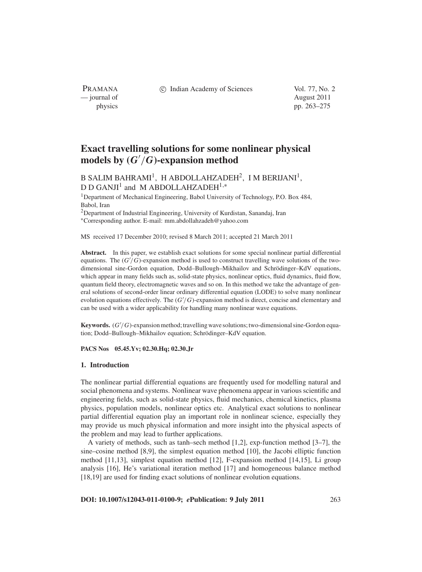c Indian Academy of Sciences Vol. 77, No. 2

PRAMANA — journal of August 2011

physics pp. 263–275

# **Exact travelling solutions for some nonlinear physical models by (***G* /*G***)-expansion method**

B SALIM BAHRAMI<sup>1</sup>, H ABDOLLAHZADEH<sup>2</sup>, I M BERIJANI<sup>1</sup>, D D GANJI<sup>1</sup> and M ABDOLLAHZADEH<sup>1,∗</sup>

<sup>1</sup>Department of Mechanical Engineering, Babol University of Technology, P.O. Box 484, Babol, Iran

2Department of Industrial Engineering, University of Kurdistan, Sanandaj, Iran <sup>∗</sup>Corresponding author. E-mail: mm.abdollahzadeh@yahoo.com

MS received 17 December 2010; revised 8 March 2011; accepted 21 March 2011

**Abstract.** In this paper, we establish exact solutions for some special nonlinear partial differential equations. The  $(G'/G)$ -expansion method is used to construct travelling wave solutions of the twodimensional sine-Gordon equation, Dodd–Bullough–Mikhailov and Schrödinger–KdV equations, which appear in many fields such as, solid-state physics, nonlinear optics, fluid dynamics, fluid flow, quantum field theory, electromagnetic waves and so on. In this method we take the advantage of general solutions of second-order linear ordinary differential equation (LODE) to solve many nonlinear evolution equations effectively. The (*G* /*G*)-expansion method is direct, concise and elementary and can be used with a wider applicability for handling many nonlinear wave equations.

**Keywords.** (*G* /*G*)-expansion method; travelling wave solutions; two-dimensional sine-Gordon equation; Dodd–Bullough–Mikhailov equation; Schrödinger–KdV equation.

**PACS Nos 05.45.Yv; 02.30.Hq; 02.30.Jr**

# **1. Introduction**

The nonlinear partial differential equations are frequently used for modelling natural and social phenomena and systems. Nonlinear wave phenomena appear in various scientific and engineering fields, such as solid-state physics, fluid mechanics, chemical kinetics, plasma physics, population models, nonlinear optics etc. Analytical exact solutions to nonlinear partial differential equation play an important role in nonlinear science, especially they may provide us much physical information and more insight into the physical aspects of the problem and may lead to further applications.

A variety of methods, such as tanh–sech method [1,2], exp-function method [3–7], the sine–cosine method [8,9], the simplest equation method [10], the Jacobi elliptic function method [11,13], simplest equation method [12], F-expansion method [14,15], Li group analysis [16], He's variational iteration method [17] and homogeneous balance method [18,19] are used for finding exact solutions of nonlinear evolution equations.

**DOI: 10.1007/s12043-011-0100-9;** *e***Publication: 9 July 2011** 263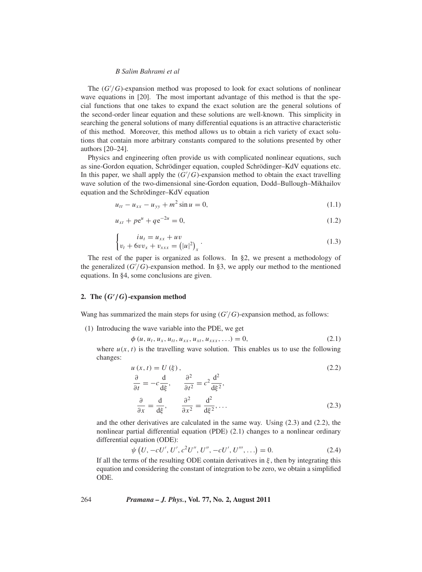The  $(G/G)$ -expansion method was proposed to look for exact solutions of nonlinear wave equations in [20]. The most important advantage of this method is that the special functions that one takes to expand the exact solution are the general solutions of the second-order linear equation and these solutions are well-known. This simplicity in searching the general solutions of many differential equations is an attractive characteristic of this method. Moreover, this method allows us to obtain a rich variety of exact solutions that contain more arbitrary constants compared to the solutions presented by other authors [20–24].

Physics and engineering often provide us with complicated nonlinear equations, such as sine-Gordon equation, Schrödinger equation, coupled Schrödinger–KdV equations etc. In this paper, we shall apply the  $(G/G)$ -expansion method to obtain the exact travelling wave solution of the two-dimensional sine-Gordon equation, Dodd–Bullough–Mikhailov equation and the Schrödinger–KdV equation

$$
u_{tt} - u_{xx} - u_{yy} + m^2 \sin u = 0, \tag{1.1}
$$

$$
u_{xt} + p e^u + q e^{-2u} = 0,
$$
\n(1.2)

$$
\begin{cases}\n iu_t = u_{xx} + uv \\
v_t + 6vv_x + v_{xxx} = (|u|^2)_x\n\end{cases} (1.3)
$$

The rest of the paper is organized as follows. In §2, we present a methodology of the generalized  $(G'/G)$ -expansion method. In §3, we apply our method to the mentioned equations. In §4, some conclusions are given.

# **2.** The  $(G'/G)$ -expansion method

Wang has summarized the main steps for using (*G* /*G*)-expansion method, as follows:

(1) Introducing the wave variable into the PDE, we get

$$
\phi(u, u_t, u_x, u_{tt}, u_{xx}, u_{xt}, u_{xxx}, \ldots) = 0, \qquad (2.1)
$$

where  $u(x, t)$  is the travelling wave solution. This enables us to use the following changes:

$$
u(x, t) = U(\xi),
$$
\n(2.2)

$$
\frac{\partial}{\partial t} = -c \frac{d}{d\xi}, \qquad \frac{\partial^2}{\partial t^2} = c^2 \frac{d^2}{d\xi^2},
$$

$$
\frac{\partial}{\partial x} = \frac{d}{d\xi}, \qquad \frac{\partial^2}{\partial x^2} = \frac{d^2}{d\xi^2}, \dots
$$
(2.3)

and the other derivatives are calculated in the same way. Using (2.3) and (2.2), the nonlinear partial differential equation (PDE) (2.1) changes to a nonlinear ordinary differential equation (ODE):

$$
\psi\left(U, -cU', U', c^2U'', U'', -cU', U''', \ldots\right) = 0. \tag{2.4}
$$

If all the terms of the resulting ODE contain derivatives in  $\xi$ , then by integrating this equation and considering the constant of integration to be zero, we obtain a simplified ODE.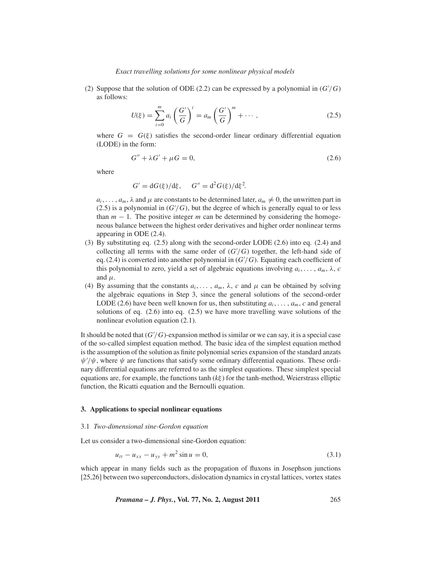#### *Exact tra*v*elling solutions for some nonlinear physical models*

(2) Suppose that the solution of ODE (2.2) can be expressed by a polynomial in  $(G/G)$ as follows:

$$
U(\xi) = \sum_{i=0}^{m} a_i \left(\frac{G'}{G}\right)^i = a_m \left(\frac{G'}{G}\right)^m + \cdots, \qquad (2.5)
$$

where  $G = G(\xi)$  satisfies the second-order linear ordinary differential equation (LODE) in the form:

$$
G'' + \lambda G' + \mu G = 0,\tag{2.6}
$$

where

$$
G' = dG(\xi)/d\xi
$$
,  $G'' = d^2G(\xi)/d\xi^2$ .

 $a_i, \ldots, a_m, \lambda$  and  $\mu$  are constants to be determined later,  $a_m \neq 0$ , the unwritten part in  $(2.5)$  is a polynomial in  $(G'/G)$ , but the degree of which is generally equal to or less than  $m - 1$ . The positive integer  $m$  can be determined by considering the homogeneous balance between the highest order derivatives and higher order nonlinear terms appearing in ODE (2.4).

- (3) By substituting eq. (2.5) along with the second-order LODE (2.6) into eq. (2.4) and collecting all terms with the same order of  $(G/G)$  together, the left-hand side of eq. (2.4) is converted into another polynomial in (*G* /*G*). Equating each coefficient of this polynomial to zero, yield a set of algebraic equations involving  $a_i, \ldots, a_m, \lambda, c$ and  $\mu$ .
- (4) By assuming that the constants  $a_i, \ldots, a_m, \lambda, c$  and  $\mu$  can be obtained by solving the algebraic equations in Step 3, since the general solutions of the second-order LODE (2.6) have been well known for us, then substituting  $a_i, \ldots, a_m, c$  and general solutions of eq. (2.6) into eq. (2.5) we have more travelling wave solutions of the nonlinear evolution equation (2.1).

It should be noted that (*G* /*G*)-expansion method is similar or we can say, it is a special case of the so-called simplest equation method. The basic idea of the simplest equation method is the assumption of the solution as finite polynomial series expansion of the standard anzats  $\psi'/\psi$ , where  $\psi$  are functions that satisfy some ordinary differential equations. These ordinary differential equations are referred to as the simplest equations. These simplest special equations are, for example, the functions tanh  $(k\xi)$  for the tanh-method, Weierstrass elliptic function, the Ricatti equation and the Bernoulli equation.

## **3. Applications to special nonlinear equations**

#### 3.1 *Two-dimensional sine-Gordon equation*

Let us consider a two-dimensional sine-Gordon equation:

$$
u_{tt} - u_{xx} - u_{yy} + m^2 \sin u = 0, \tag{3.1}
$$

which appear in many fields such as the propagation of fluxons in Josephson junctions [25,26] between two superconductors, dislocation dynamics in crystal lattices, vortex states

*Pramana – J. Phys.***, Vol. 77, No. 2, August 2011** 265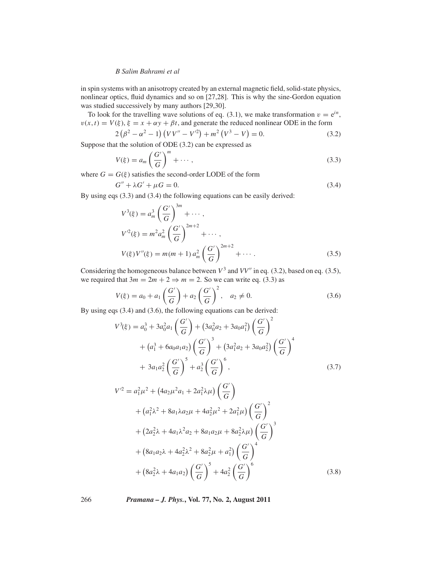in spin systems with an anisotropy created by an external magnetic field, solid-state physics, nonlinear optics, fluid dynamics and so on [27,28]. This is why the sine-Gordon equation was studied successively by many authors [29,30].

To look for the travelling wave solutions of eq. (3.1), we make transformation  $v = e^{in}$ ,  $v(x, t) = V(\xi), \xi = x + \alpha y + \beta t$ , and generate the reduced nonlinear ODE in the form

$$
2(\beta^2 - \alpha^2 - 1)(VV'' - V^2) + m^2(V^3 - V) = 0.
$$
 (3.2)

Suppose that the solution of ODE (3.2) can be expressed as

$$
V(\xi) = a_m \left(\frac{G'}{G}\right)^m + \cdots, \tag{3.3}
$$

where  $G = G(\xi)$  satisfies the second-order LODE of the form

$$
G'' + \lambda G' + \mu G = 0. \tag{3.4}
$$

By using eqs (3.3) and (3.4) the following equations can be easily derived:

$$
V^{3}(\xi) = a_{m}^{3} \left(\frac{G'}{G}\right)^{3m} + \cdots,
$$
  
\n
$$
V'^{2}(\xi) = m^{2} a_{m}^{2} \left(\frac{G'}{G}\right)^{2m+2} + \cdots,
$$
  
\n
$$
V(\xi) V''(\xi) = m(m+1) a_{m}^{2} \left(\frac{G'}{G}\right)^{2m+2} + \cdots.
$$
\n(3.5)

Considering the homogeneous balance between  $V^3$  and  $VV''$  in eq. (3.2), based on eq. (3.5), we required that  $3m = 2m + 2 \Rightarrow m = 2$ . So we can write eq. (3.3) as

$$
V(\xi) = a_0 + a_1 \left(\frac{G'}{G}\right) + a_2 \left(\frac{G'}{G}\right)^2, \quad a_2 \neq 0.
$$
\n(3.6)

By using eqs (3.4) and (3.6), the following equations can be derived:

$$
V^{3}(\xi) = a_{0}^{3} + 3a_{0}^{2}a_{1} \left(\frac{G'}{G}\right) + \left(3a_{0}^{2}a_{2} + 3a_{0}a_{1}^{2}\right) \left(\frac{G'}{G}\right)^{2} + \left(a_{1}^{3} + 6a_{0}a_{1}a_{2}\right) \left(\frac{G'}{G}\right)^{3} + \left(3a_{1}^{2}a_{2} + 3a_{0}a_{2}^{2}\right) \left(\frac{G'}{G}\right)^{4} + 3a_{1}a_{2}^{2} \left(\frac{G'}{G}\right)^{5} + a_{2}^{3} \left(\frac{G'}{G}\right)^{6},
$$
\n(3.7)

$$
V^2 = a_1^2 \mu^2 + (4a_2 \mu^2 a_1 + 2a_1^2 \lambda \mu) \left(\frac{G'}{G}\right)
$$
  
+  $(a_1^2 \lambda^2 + 8a_1 \lambda a_2 \mu + 4a_2^2 \mu^2 + 2a_1^2 \mu) \left(\frac{G'}{G}\right)^2$   
+  $(2a_2^2 \lambda + 4a_1 \lambda^2 a_2 + 8a_1 a_2 \mu + 8a_2^2 \lambda \mu) \left(\frac{G'}{G}\right)^3$   
+  $(8a_1 a_2 \lambda + 4a_2^2 \lambda^2 + 8a_2^2 \mu + a_1^2) \left(\frac{G'}{G}\right)^4$   
+  $(8a_2^2 \lambda + 4a_1 a_2) \left(\frac{G'}{G}\right)^5 + 4a_2^2 \left(\frac{G'}{G}\right)^6$  (3.8)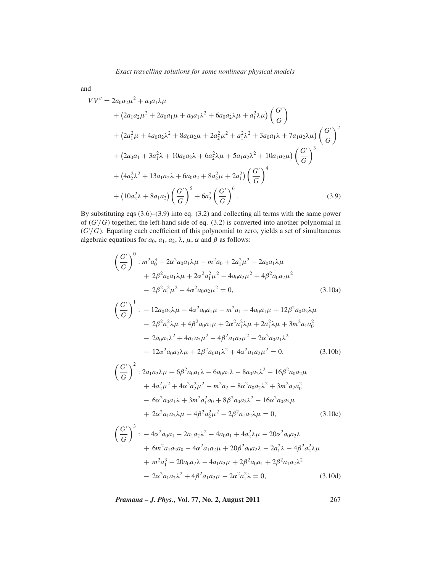and

$$
VV'' = 2a_0a_2\mu^2 + a_0a_1\lambda\mu
$$
  
+  $(2a_1a_2\mu^2 + 2a_0a_1\mu + a_0a_1\lambda^2 + 6a_0a_2\lambda\mu + a_1^2\lambda\mu)\left(\frac{G'}{G}\right)$   
+  $(2a_1^2\mu + 4a_0a_2\lambda^2 + 8a_0a_2\mu + 2a_2^2\mu^2 + a_1^2\lambda^2 + 3a_0a_1\lambda + 7a_1a_2\lambda\mu)\left(\frac{G'}{G}\right)^2$   
+  $(2a_0a_1 + 3a_1^2\lambda + 10a_0a_2\lambda + 6a_2^2\lambda\mu + 5a_1a_2\lambda^2 + 10a_1a_2\mu)\left(\frac{G'}{G}\right)^3$   
+  $(4a_2^2\lambda^2 + 13a_1a_2\lambda + 6a_0a_2 + 8a_2^2\mu + 2a_1^2)\left(\frac{G'}{G}\right)^4$   
+  $(10a_2^2\lambda + 8a_1a_2)\left(\frac{G'}{G}\right)^5 + 6a_2^2\left(\frac{G'}{G}\right)^6$ . (3.9)

By substituting eqs (3.6)–(3.9) into eq. (3.2) and collecting all terms with the same power of  $(G'/G)$  together, the left-hand side of eq.  $(3.2)$  is converted into another polynomial in (*G* /*G*). Equating each coefficient of this polynomial to zero, yields a set of simultaneous algebraic equations for  $a_0$ ,  $a_1$ ,  $a_2$ ,  $\lambda$ ,  $\mu$ ,  $\alpha$  and  $\beta$  as follows:

$$
\left(\frac{G'}{G}\right)^{0}: m^{2}a_{0}^{3} - 2\alpha^{2}a_{0}a_{1}\lambda\mu - m^{2}a_{0} + 2a_{1}^{2}\mu^{2} - 2a_{0}a_{1}\lambda\mu
$$
  
+  $2\beta^{2}a_{0}a_{1}\lambda\mu + 2\alpha^{2}a_{1}^{2}\mu^{2} - 4a_{0}a_{2}\mu^{2} + 4\beta^{2}a_{0}a_{2}\mu^{2}$   
-  $2\beta^{2}a_{1}^{2}\mu^{2} - 4\alpha^{2}a_{0}a_{2}\mu^{2} = 0,$  (3.10a)  

$$
\left(\frac{G'}{G}\right)^{1} := 12a_{0}a_{2}\lambda\mu - 4\alpha^{2}a_{0}a_{1}\mu - m^{2}a_{1} - 4a_{0}a_{1}\mu + 12\beta^{2}a_{0}a_{2}\lambda\mu
$$
  
-  $2\beta^{2}a_{1}^{2}\lambda\mu + 4\beta^{2}a_{0}a_{1}\mu + 2\alpha^{2}a_{1}^{2}\lambda\mu + 2a_{1}^{2}\lambda\mu + 3m^{2}a_{1}a_{0}^{2}$   
-  $2a_{0}a_{1}\lambda^{2} + 4a_{1}a_{2}\mu^{2} - 4\beta^{2}a_{1}a_{2}\mu^{2} - 2\alpha^{2}a_{0}a_{1}\lambda^{2}$   
-  $12\alpha^{2}a_{0}a_{2}\lambda\mu + 2\beta^{2}a_{0}a_{1}\lambda^{2} + 4\alpha^{2}a_{1}a_{2}\mu^{2} = 0,$  (3.10b)  

$$
\left(\frac{G'}{G}\right)^{2} : 2a_{1}a_{2}\lambda\mu + 6\beta^{2}a_{0}a_{1}\lambda - 6a_{0}a_{1}\lambda - 8a_{0}a_{2}\lambda^{2} - 16\beta^{2}a_{0}a_{2}\mu
$$
  
+  $4a_{2}^{2}\mu^{2} + 4\alpha^{2}a_{2}^{2}\mu^{2} - m^{2}a_{2} - 8\alpha^{2}a_{0}a_{2}\lambda^{2} + 3m^{2}a_{2}a_{0}^{2}$   
-  $6\alpha^{2}a_{0}a_{1}\lambda$ 

+ 
$$
m^2 a_1^3 - 20a_0 a_2 \lambda - 4a_1 a_2 \mu + 2\beta^2 a_0 a_1 + 2\beta^2 a_1 a_2 \lambda^2
$$
  
-  $2\alpha^2 a_1 a_2 \lambda^2 + 4\beta^2 a_1 a_2 \mu - 2\alpha^2 a_1^2 \lambda = 0,$  (3.10d)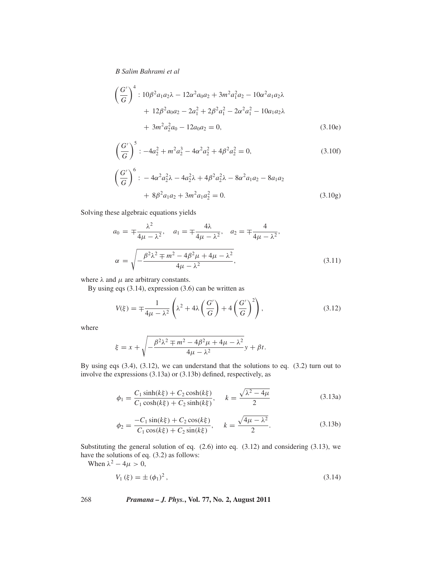$$
\left(\frac{G'}{G}\right)^4: 10\beta^2 a_1 a_2 \lambda - 12\alpha^2 a_0 a_2 + 3m^2 a_1^2 a_2 - 10\alpha^2 a_1 a_2 \lambda + 12\beta^2 a_0 a_2 - 2a_1^2 + 2\beta^2 a_1^2 - 2\alpha^2 a_1^2 - 10a_1 a_2 \lambda + 3m^2 a_2^2 a_0 - 12a_0 a_2 = 0,
$$
\n(3.10e)

$$
\left(\frac{G'}{G}\right)^5: -4a_2^2 + m^2 a_2^3 - 4\alpha^2 a_2^2 + 4\beta^2 a_2^2 = 0,\tag{3.10f}
$$

$$
\left(\frac{G'}{G}\right)^6: -4\alpha^2 a_2^2 \lambda - 4a_2^2 \lambda + 4\beta^2 a_2^2 \lambda - 8\alpha^2 a_1 a_2 - 8a_1 a_2 + 8\beta^2 a_1 a_2 + 3m^2 a_1 a_2^2 = 0.
$$
 (3.10g)

Solving these algebraic equations yields

$$
a_0 = \pm \frac{\lambda^2}{4\mu - \lambda^2}, \quad a_1 = \pm \frac{4\lambda}{4\mu - \lambda^2}, \quad a_2 = \pm \frac{4}{4\mu - \lambda^2},
$$

$$
\alpha = \sqrt{-\frac{\beta^2 \lambda^2 \mp m^2 - 4\beta^2 \mu + 4\mu - \lambda^2}{4\mu - \lambda^2}}, \tag{3.11}
$$

where  $\lambda$  and  $\mu$  are arbitrary constants.

By using eqs (3.14), expression (3.6) can be written as

$$
V(\xi) = \mp \frac{1}{4\mu - \lambda^2} \left( \lambda^2 + 4\lambda \left( \frac{G'}{G} \right) + 4 \left( \frac{G'}{G} \right)^2 \right),\tag{3.12}
$$

where

$$
\xi = x + \sqrt{-\frac{\beta^2 \lambda^2 \mp m^2 - 4\beta^2 \mu + 4\mu - \lambda^2}{4\mu - \lambda^2}} y + \beta t.
$$

By using eqs (3.4), (3.12), we can understand that the solutions to eq. (3.2) turn out to involve the expressions (3.13a) or (3.13b) defined, respectively, as

$$
\phi_1 = \frac{C_1 \sinh(k\xi) + C_2 \cosh(k\xi)}{C_1 \cosh(k\xi) + C_2 \sinh(k\xi)}, \quad k = \frac{\sqrt{\lambda^2 - 4\mu}}{2}
$$
\n(3.13a)

$$
\phi_2 = \frac{-C_1 \sin(k\xi) + C_2 \cos(k\xi)}{C_1 \cos(k\xi) + C_2 \sin(k\xi)}, \quad k = \frac{\sqrt{4\mu - \lambda^2}}{2}.
$$
\n(3.13b)

Substituting the general solution of eq. (2.6) into eq. (3.12) and considering (3.13), we have the solutions of eq. (3.2) as follows:

When 
$$
\lambda^2 - 4\mu > 0
$$
,

$$
V_1(\xi) = \pm (\phi_1)^2, \tag{3.14}
$$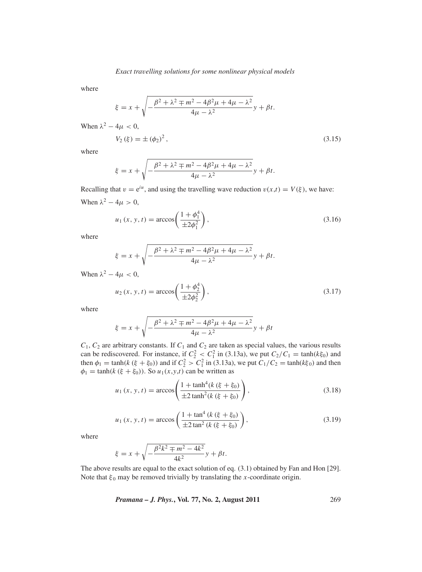where

$$
\xi = x + \sqrt{-\frac{\beta^2 + \lambda^2 \mp m^2 - 4\beta^2 \mu + 4\mu - \lambda^2}{4\mu - \lambda^2}} y + \beta t.
$$

When  $\lambda^2 - 4\mu < 0$ ,

$$
V_2(\xi) = \pm (\phi_2)^2, \tag{3.15}
$$

where

$$
\xi = x + \sqrt{-\frac{\beta^2 + \lambda^2 \mp m^2 - 4\beta^2 \mu + 4\mu - \lambda^2}{4\mu - \lambda^2}} y + \beta t.
$$

Recalling that  $v = e^{iu}$ , and using the travelling wave reduction  $v(x,t) = V(\xi)$ , we have: When  $\lambda^2 - 4\mu > 0$ ,

$$
u_1(x, y, t) = \arccos\left(\frac{1 + \phi_1^4}{\pm 2\phi_1^2}\right),\tag{3.16}
$$

where

$$
\xi = x + \sqrt{-\frac{\beta^2 + \lambda^2 \mp m^2 - 4\beta^2 \mu + 4\mu - \lambda^2}{4\mu - \lambda^2}} y + \beta t.
$$

When  $\lambda^2 - 4\mu < 0$ ,

$$
u_2(x, y, t) = \arccos\left(\frac{1 + \phi_2^4}{\pm 2\phi_2^2}\right),\tag{3.17}
$$

where

$$
\xi = x + \sqrt{-\frac{\beta^2 + \lambda^2 \mp m^2 - 4\beta^2 \mu + 4\mu - \lambda^2}{4\mu - \lambda^2}} y + \beta t
$$

 $C_1$ ,  $C_2$  are arbitrary constants. If  $C_1$  and  $C_2$  are taken as special values, the various results can be rediscovered. For instance, if  $C_2^2 < C_1^2$  in (3.13a), we put  $C_2/C_1 = \tanh(k\xi_0)$  and then  $\phi_1 = \tanh(k (\xi + \xi_0))$  and if  $C_2^2 > C_1^2$  in (3.13a), we put  $C_1/C_2 = \tanh(k\xi_0)$  and then  $\phi_1 = \tanh(k(\xi + \xi_0))$ . So  $u_1(x, y, t)$  can be written as

$$
u_1(x, y, t) = \arccos\left(\frac{1 + \tanh^4(k (\xi + \xi_0))}{\pm 2 \tanh^2(k (\xi + \xi_0))}\right),\tag{3.18}
$$

$$
u_1(x, y, t) = \arccos\left(\frac{1 + \tan^4\left(k\left(\xi + \xi_0\right)\right)}{\pm 2\tan^2\left(k\left(\xi + \xi_0\right)\right)}\right),\tag{3.19}
$$

where

$$
\xi = x + \sqrt{-\frac{\beta^2 k^2 \mp m^2 - 4k^2}{4k^2}} y + \beta t.
$$

The above results are equal to the exact solution of eq. (3.1) obtained by Fan and Hon [29]. Note that  $\xi_0$  may be removed trivially by translating the *x*-coordinate origin.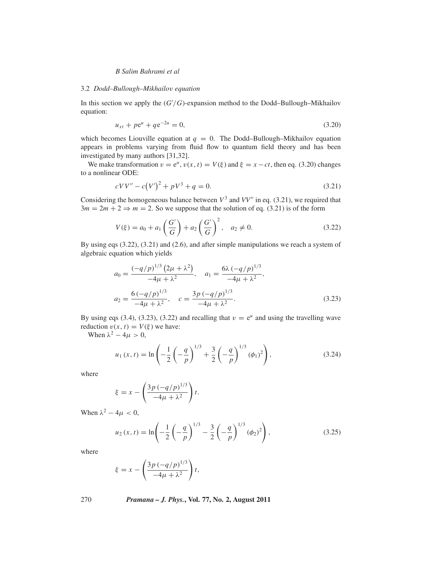#### 3.2 *Dodd–Bullough–Mikhailo*v *equation*

In this section we apply the  $(G/G)$ -expansion method to the Dodd–Bullough–Mikhailov equation:

$$
u_{xt} + p e^{u} + q e^{-2u} = 0,
$$
\n(3.20)

which becomes Liouville equation at  $q = 0$ . The Dodd–Bullough–Mikhailov equation appears in problems varying from fluid flow to quantum field theory and has been investigated by many authors [31,32].

We make transformation  $v = e^u$ ,  $v(x, t) = V(\xi)$  and  $\xi = x - ct$ , then eq. (3.20) changes to a nonlinear ODE:

$$
cVV'' - c(V')^{2} + pV^{3} + q = 0.
$$
\n(3.21)

Considering the homogeneous balance between  $V^3$  and  $VV''$  in eq. (3.21), we required that  $3m = 2m + 2 \Rightarrow m = 2$ . So we suppose that the solution of eq. (3.21) is of the form

$$
V(\xi) = a_0 + a_1 \left(\frac{G'}{G}\right) + a_2 \left(\frac{G'}{G}\right)^2, \quad a_2 \neq 0.
$$
 (3.22)

By using eqs (3.22), (3.21) and (2.6), and after simple manipulations we reach a system of algebraic equation which yields

$$
a_0 = \frac{(-q/p)^{1/3} (2\mu + \lambda^2)}{-4\mu + \lambda^2}, \quad a_1 = \frac{6\lambda (-q/p)^{1/3}}{-4\mu + \lambda^2},
$$
  

$$
a_2 = \frac{6(-q/p)^{1/3}}{-4\mu + \lambda^2}, \quad c = \frac{3p(-q/p)^{1/3}}{-4\mu + \lambda^2}.
$$
 (3.23)

By using eqs (3.4), (3.23), (3.22) and recalling that  $v = e^u$  and using the travelling wave reduction  $v(x, t) = V(\xi)$  we have:

When  $\lambda^2 - 4\mu > 0$ ,

$$
u_1(x,t) = \ln\left(-\frac{1}{2}\left(-\frac{q}{p}\right)^{1/3} + \frac{3}{2}\left(-\frac{q}{p}\right)^{1/3}(\phi_1)^2\right),\tag{3.24}
$$

where

$$
\xi = x - \left( \frac{3p (-q/p)^{1/3}}{-4\mu + \lambda^2} \right) t.
$$

When  $\lambda^2 - 4\mu < 0$ ,

$$
u_2(x,t) = \ln\left(-\frac{1}{2}\left(-\frac{q}{p}\right)^{1/3} - \frac{3}{2}\left(-\frac{q}{p}\right)^{1/3}(\phi_2)^2\right),\tag{3.25}
$$

where

$$
\xi = x - \left( \frac{3p (-q/p)^{1/3}}{-4\mu + \lambda^2} \right) t,
$$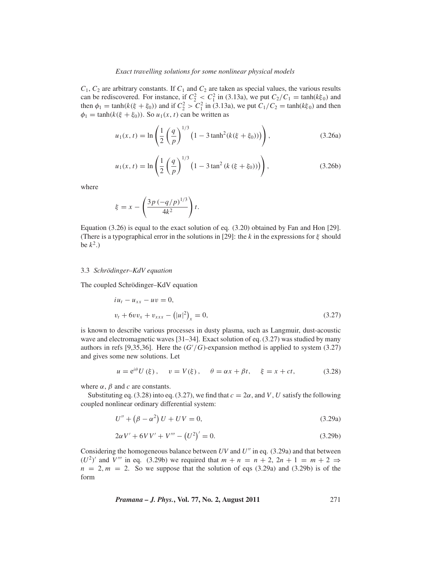$C_1$ ,  $C_2$  are arbitrary constants. If  $C_1$  and  $C_2$  are taken as special values, the various results can be rediscovered. For instance, if  $C_2^2 < C_1^2$  in (3.13a), we put  $C_2/C_1 = \tanh(k\xi_0)$  and then  $\phi_1 = \tanh(k(\xi + \xi_0))$  and if  $C_2^2 > C_1^2$  in (3.13a), we put  $C_1/C_2 = \tanh(k\xi_0)$  and then  $\phi_1 = \tanh(k(\xi + \xi_0))$ . So  $u_1(x, t)$  can be written as

$$
u_1(x,t) = \ln\left(\frac{1}{2}\left(\frac{q}{p}\right)^{1/3} \left(1 - 3\tanh^2(k(\xi + \xi_0))\right)\right),\tag{3.26a}
$$

$$
u_1(x,t) = \ln\left(\frac{1}{2}\left(\frac{q}{p}\right)^{1/3} \left(1 - 3\tan^2\left(k\left(\xi + \xi_0\right)\right)\right)\right),\tag{3.26b}
$$

where

$$
\xi = x - \left( \frac{3p (-q/p)^{1/3}}{4k^2} \right) t.
$$

Equation (3.26) is equal to the exact solution of eq. (3.20) obtained by Fan and Hon [29]. (There is a typographical error in the solutions in [29]: the *k* in the expressions for  $\xi$  should be  $k^2$ .)

#### 3.3 *Schrödinger–KdV equation*

The coupled Schrödinger–KdV equation

$$
iu_t - u_{xx} - uv = 0,
$$
  

$$
v_t + 6vv_x + v_{xxx} - (|u|^2)_x = 0,
$$
 (3.27)

is known to describe various processes in dusty plasma, such as Langmuir, dust-acoustic wave and electromagnetic waves [31–34]. Exact solution of eq. (3.27) was studied by many authors in refs [9,35,36]. Here the  $(G'/G)$ -expansion method is applied to system (3.27) and gives some new solutions. Let

$$
u = e^{i\theta} U(\xi), \quad v = V(\xi), \quad \theta = \alpha x + \beta t, \quad \xi = x + ct,
$$
 (3.28)

where  $\alpha$ ,  $\beta$  and  $c$  are constants.

Substituting eq. (3.28) into eq. (3.27), we find that  $c = 2\alpha$ , and *V*, *U* satisfy the following coupled nonlinear ordinary differential system:

$$
U'' + (\beta - \alpha^2) U + UV = 0,
$$
\n(3.29a)

$$
2\alpha V' + 6VV' + V''' - (U^2)' = 0.
$$
\n(3.29b)

Considering the homogeneous balance between  $UV$  and  $U''$  in eq. (3.29a) and that between  $(U^2)$  and *V'''* in eq. (3.29b) we required that  $m + n = n + 2$ ,  $2n + 1 = m + 2 \Rightarrow$  $n = 2, m = 2$ . So we suppose that the solution of eqs (3.29a) and (3.29b) is of the form

*Pramana – J. Phys.***, Vol. 77, No. 2, August 2011** 271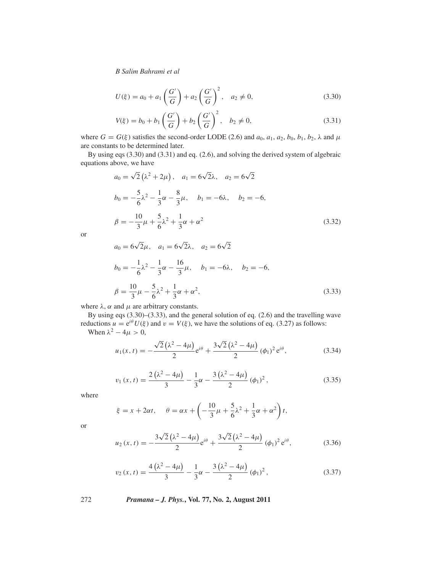$$
U(\xi) = a_0 + a_1 \left(\frac{G'}{G}\right) + a_2 \left(\frac{G'}{G}\right)^2, \quad a_2 \neq 0,
$$
\n(3.30)

$$
V(\xi) = b_0 + b_1 \left(\frac{G'}{G}\right) + b_2 \left(\frac{G'}{G}\right)^2, \quad b_2 \neq 0,
$$
\n(3.31)

where  $G = G(\xi)$  satisfies the second-order LODE (2.6) and  $a_0$ ,  $a_1$ ,  $a_2$ ,  $b_0$ ,  $b_1$ ,  $b_2$ ,  $\lambda$  and  $\mu$ are constants to be determined later.

By using eqs (3.30) and (3.31) and eq. (2.6), and solving the derived system of algebraic equations above, we have

$$
a_0 = \sqrt{2} (\lambda^2 + 2\mu), \quad a_1 = 6\sqrt{2}\lambda, \quad a_2 = 6\sqrt{2}
$$
  
\n
$$
b_0 = -\frac{5}{6}\lambda^2 - \frac{1}{3}\alpha - \frac{8}{3}\mu, \quad b_1 = -6\lambda, \quad b_2 = -6,
$$
  
\n
$$
\beta = -\frac{10}{3}\mu + \frac{5}{6}\lambda^2 + \frac{1}{3}\alpha + \alpha^2
$$
\n(3.32)

or

$$
a_0 = 6\sqrt{2}\mu, \quad a_1 = 6\sqrt{2}\lambda, \quad a_2 = 6\sqrt{2}
$$
  
\n
$$
b_0 = -\frac{1}{6}\lambda^2 - \frac{1}{3}\alpha - \frac{16}{3}\mu, \quad b_1 = -6\lambda, \quad b_2 = -6,
$$
  
\n
$$
\beta = \frac{10}{3}\mu - \frac{5}{6}\lambda^2 + \frac{1}{3}\alpha + \alpha^2,
$$
\n(3.33)

where  $\lambda$ ,  $\alpha$  and  $\mu$  are arbitrary constants.

By using eqs (3.30)–(3.33), and the general solution of eq. (2.6) and the travelling wave reductions  $u = e^{i\theta} U(\xi)$  and  $v = V(\xi)$ , we have the solutions of eq. (3.27) as follows: When  $\lambda^2 - 4\mu > 0$ ,

$$
u_1(x,t) = -\frac{\sqrt{2} (\lambda^2 - 4\mu)}{2} e^{i\theta} + \frac{3\sqrt{2} (\lambda^2 - 4\mu)}{2} (\phi_1)^2 e^{i\theta}, \qquad (3.34)
$$

$$
v_1(x,t) = \frac{2\left(\lambda^2 - 4\mu\right)}{3} - \frac{1}{3}\alpha - \frac{3\left(\lambda^2 - 4\mu\right)}{2}\left(\phi_1\right)^2,\tag{3.35}
$$

where

$$
\xi = x + 2\alpha t, \quad \theta = \alpha x + \left(-\frac{10}{3}\mu + \frac{5}{6}\lambda^2 + \frac{1}{3}\alpha + \alpha^2\right)t,
$$

or

$$
u_2(x,t) = -\frac{3\sqrt{2}(\lambda^2 - 4\mu)}{2} e^{i\theta} + \frac{3\sqrt{2}(\lambda^2 - 4\mu)}{2} (\phi_1)^2 e^{i\theta},
$$
(3.36)

$$
v_2(x,t) = \frac{4\left(\lambda^2 - 4\mu\right)}{3} - \frac{1}{3}\alpha - \frac{3\left(\lambda^2 - 4\mu\right)}{2}\left(\phi_1\right)^2,\tag{3.37}
$$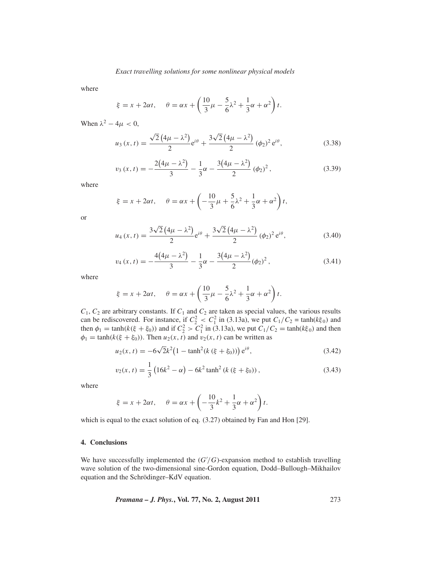where

$$
\xi = x + 2\alpha t, \quad \theta = \alpha x + \left(\frac{10}{3}\mu - \frac{5}{6}\lambda^2 + \frac{1}{3}\alpha + \alpha^2\right)t.
$$

When  $\lambda^2 - 4\mu < 0$ ,

$$
u_3(x,t) = \frac{\sqrt{2}(4\mu - \lambda^2)}{2} e^{i\theta} + \frac{3\sqrt{2}(4\mu - \lambda^2)}{2} (\phi_2)^2 e^{i\theta},
$$
 (3.38)

$$
v_3(x,t) = -\frac{2(4\mu - \lambda^2)}{3} - \frac{1}{3}\alpha - \frac{3(4\mu - \lambda^2)}{2} (\phi_2)^2, \tag{3.39}
$$

where

$$
\xi = x + 2\alpha t, \quad \theta = \alpha x + \left(-\frac{10}{3}\mu + \frac{5}{6}\lambda^2 + \frac{1}{3}\alpha + \alpha^2\right)t,
$$

or

$$
u_4(x,t) = \frac{3\sqrt{2}(4\mu - \lambda^2)}{2} e^{i\theta} + \frac{3\sqrt{2}(4\mu - \lambda^2)}{2} (\phi_2)^2 e^{i\theta}, \qquad (3.40)
$$

$$
v_4(x,t) = -\frac{4(4\mu - \lambda^2)}{3} - \frac{1}{3}\alpha - \frac{3(4\mu - \lambda^2)}{2}(\phi_2)^2,
$$
 (3.41)

where

$$
\xi = x + 2\alpha t, \quad \theta = \alpha x + \left(\frac{10}{3}\mu - \frac{5}{6}\lambda^2 + \frac{1}{3}\alpha + \alpha^2\right)t.
$$

 $C_1$ ,  $C_2$  are arbitrary constants. If  $C_1$  and  $C_2$  are taken as special values, the various results can be rediscovered. For instance, if  $C_2^2 \le C_1^2$  in (3.13a), we put  $C_1/C_2 = \tanh(k\xi_0)$  and then  $\phi_1 = \tanh(k(\xi + \xi_0))$  and if  $C_2^2 > C_1^2$  in (3.13a), we put  $C_1/C_2 = \tanh(k\xi_0)$  and then  $\phi_1 = \tanh(k(\xi + \xi_0))$ . Then  $u_2(x, t)$  and  $v_2(x, t)$  can be written as

$$
u_2(x,t) = -6\sqrt{2k^2}\left(1 - \tanh^2(k(\xi + \xi_0))\right)e^{i\theta},\tag{3.42}
$$

$$
v_2(x,t) = \frac{1}{3} \left( 16k^2 - \alpha \right) - 6k^2 \tanh^2 \left( k \left( \xi + \xi_0 \right) \right),\tag{3.43}
$$

where

$$
\xi = x + 2\alpha t, \quad \theta = \alpha x + \left(-\frac{10}{3}k^2 + \frac{1}{3}\alpha + \alpha^2\right)t.
$$

which is equal to the exact solution of eq. (3.27) obtained by Fan and Hon [29].

#### **4. Conclusions**

We have successfully implemented the  $(G/G)$ -expansion method to establish travelling wave solution of the two-dimensional sine-Gordon equation, Dodd–Bullough–Mikhailov equation and the Schrödinger–KdV equation.

*Pramana – J. Phys.***, Vol. 77, No. 2, August 2011** 273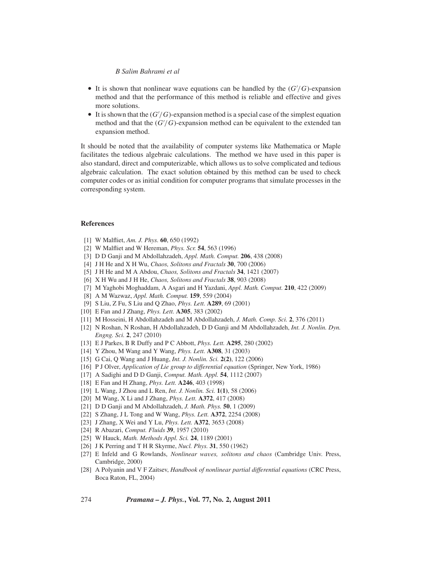- It is shown that nonlinear wave equations can be handled by the  $(G/G)$ -expansion method and that the performance of this method is reliable and effective and gives more solutions.
- $\bullet$  It is shown that the  $(G'/G)$ -expansion method is a special case of the simplest equation method and that the (*G* /*G*)-expansion method can be equivalent to the extended tan expansion method.

It should be noted that the availability of computer systems like Mathematica or Maple facilitates the tedious algebraic calculations. The method we have used in this paper is also standard, direct and computerizable, which allows us to solve complicated and tedious algebraic calculation. The exact solution obtained by this method can be used to check computer codes or as initial condition for computer programs that simulate processes in the corresponding system.

## **References**

- [1] W Malfliet, *Am. J. Phys.* **60**, 650 (1992)
- [2] W Malfliet and W Hereman, *Phys. Scr.* **54**, 563 (1996)
- [3] D D Ganji and M Abdollahzadeh, *Appl. Math. Comput.* **206**, 438 (2008)
- [4] J H He and X H Wu, *Chaos, Solitons and Fractals* **30**, 700 (2006)
- [5] J H He and M A Abdou, *Chaos, Solitons and Fractals* **34**, 1421 (2007)
- [6] X H Wu and J H He, *Chaos, Solitons and Fractals* **38**, 903 (2008)
- [7] M Yaghobi Moghaddam, A Asgari and H Yazdani, *Appl. Math. Comput.* **210**, 422 (2009)
- [8] A M Wazwaz, *Appl. Math. Comput.* **159**, 559 (2004)
- [9] S Liu, Z Fu, S Liu and Q Zhao, *Phys. Lett.* **A289**, 69 (2001)
- [10] E Fan and J Zhang, *Phys. Lett.* **A305**, 383 (2002)
- [11] M Hosseini, H Abdollahzadeh and M Abdollahzadeh, *J. Math. Comp. Sci.* **2**, 376 (2011)
- [12] N Roshan, N Roshan, H Abdollahzadeh, D D Ganji and M Abdollahzadeh, *Int. J. Nonlin. Dyn. Engng. Sci.* **2**, 247 (2010)
- [13] E J Parkes, B R Duffy and P C Abbott, *Phys. Lett.* **A295**, 280 (2002)
- [14] Y Zhou, M Wang and Y Wang, *Phys. Lett.* **A308**, 31 (2003)
- [15] G Cai, Q Wang and J Huang, *Int. J. Nonlin. Sci.* **2(2)**, 122 (2006)
- [16] P J Olver, *Application of Lie group to differential equation* (Springer, New York, 1986)
- [17] A Sadighi and D D Ganji, *Comput. Math. Appl.* **54**, 1112 (2007)
- [18] E Fan and H Zhang, *Phys. Lett.* **A246**, 403 (1998)
- [19] L Wang, J Zhou and L Ren, *Int. J. Nonlin. Sci.* **1(1)**, 58 (2006)
- [20] M Wang, X Li and J Zhang, *Phys. Lett.* **A372**, 417 (2008)
- [21] D D Ganji and M Abdollahzadeh, *J. Math. Phys.* **50**, 1 (2009)
- [22] S Zhang, J L Tong and W Wang, *Phys. Lett.* **A372**, 2254 (2008)
- [23] J Zhang, X Wei and Y Lu, *Phys. Lett.* **A372**, 3653 (2008)
- [24] R Abazari, *Comput. Fluids* **39**, 1957 (2010)
- [25] W Hauck, *Math. Methods Appl. Sci.* **24**, 1189 (2001)
- [26] J K Perring and T H R Skyrme, *Nucl. Phys.* **31**, 550 (1962)
- [27] E Infeld and G Rowlands, *Nonlinear wa*v*es, solitons and chaos* (Cambridge Univ. Press, Cambridge, 2000)
- [28] A Polyanin and V F Zaitsev, *Handbook of nonlinear partial differential equations* (CRC Press, Boca Raton, FL, 2004)